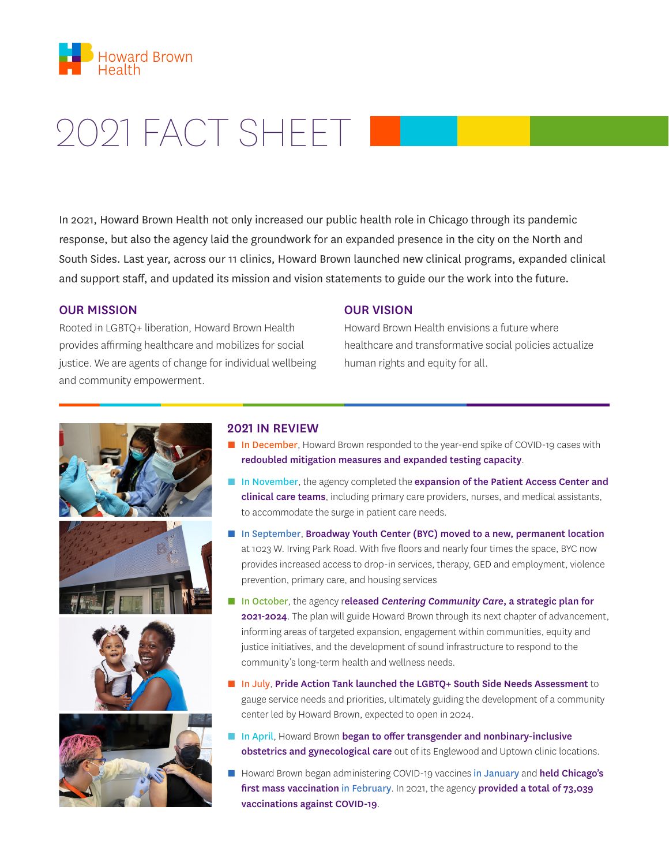

# 2021 FACT SHEET

In 2021, Howard Brown Health not only increased our public health role in Chicago through its pandemic response, but also the agency laid the groundwork for an expanded presence in the city on the North and South Sides. Last year, across our 11 clinics, Howard Brown launched new clinical programs, expanded clinical and support staff, and updated its mission and vision statements to guide our the work into the future.

## OUR MISSION

Rooted in LGBTQ+ liberation, Howard Brown Health provides affirming healthcare and mobilizes for social justice. We are agents of change for individual wellbeing and community empowerment.

#### OUR VISION

Howard Brown Health envisions a future where healthcare and transformative social policies actualize human rights and equity for all.









## 2021 IN REVIEW

- In December, Howard Brown responded to the year-end spike of COVID-19 cases with redoubled mitigation measures and expanded testing capacity.
- In November, the agency completed the expansion of the Patient Access Center and clinical care teams, including primary care providers, nurses, and medical assistants, to accommodate the surge in patient care needs.
- In September, Broadway Youth Center (BYC) moved to a new, permanent location at 1023 W. Irving Park Road. With five floors and nearly four times the space, BYC now provides increased access to drop-in services, therapy, GED and employment, violence prevention, primary care, and housing services
- In October, the agency released *Centering Community Care*, a strategic plan for 2021-2024. The plan will guide Howard Brown through its next chapter of advancement, informing areas of targeted expansion, engagement within communities, equity and justice initiatives, and the development of sound infrastructure to respond to the community's long-term health and wellness needs.
- In July, Pride Action Tank launched the LGBTO+ South Side Needs Assessment to gauge service needs and priorities, ultimately guiding the development of a community center led by Howard Brown, expected to open in 2024.
- In April, Howard Brown began to offer transgender and nonbinary-inclusive obstetrics and gynecological care out of its Englewood and Uptown clinic locations.
- Howard Brown began administering COVID-19 vaccines in January and held Chicago's first mass vaccination in February. In 2021, the agency provided a total of 73,039 vaccinations against COVID-19.